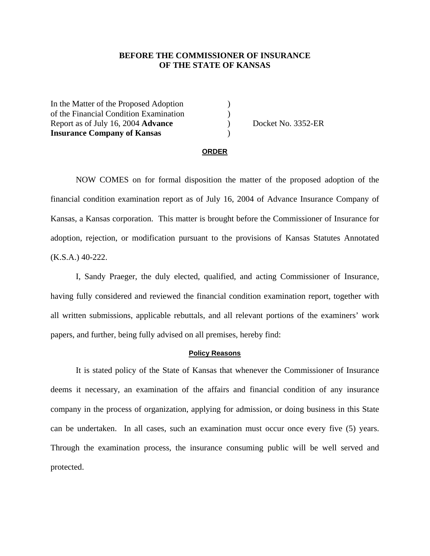# **BEFORE THE COMMISSIONER OF INSURANCE OF THE STATE OF KANSAS**

In the Matter of the Proposed Adoption ) of the Financial Condition Examination ) Report as of July 16, 2004 **Advance** (a) Docket No. 3352-ER **Insurance Company of Kansas** )

#### **ORDER**

 NOW COMES on for formal disposition the matter of the proposed adoption of the financial condition examination report as of July 16, 2004 of Advance Insurance Company of Kansas, a Kansas corporation. This matter is brought before the Commissioner of Insurance for adoption, rejection, or modification pursuant to the provisions of Kansas Statutes Annotated (K.S.A.) 40-222.

 I, Sandy Praeger, the duly elected, qualified, and acting Commissioner of Insurance, having fully considered and reviewed the financial condition examination report, together with all written submissions, applicable rebuttals, and all relevant portions of the examiners' work papers, and further, being fully advised on all premises, hereby find:

### **Policy Reasons**

 It is stated policy of the State of Kansas that whenever the Commissioner of Insurance deems it necessary, an examination of the affairs and financial condition of any insurance company in the process of organization, applying for admission, or doing business in this State can be undertaken. In all cases, such an examination must occur once every five (5) years. Through the examination process, the insurance consuming public will be well served and protected.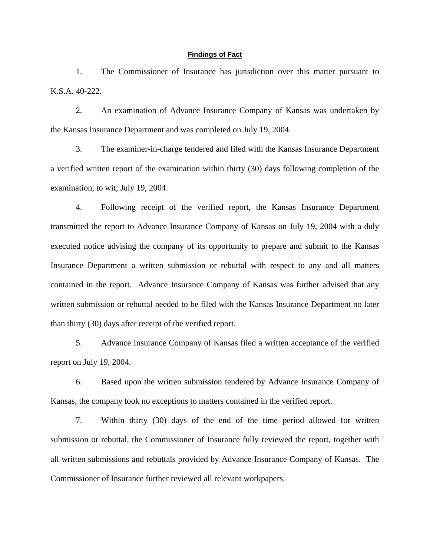## **Findings of Fact**

 1. The Commissioner of Insurance has jurisdiction over this matter pursuant to K.S.A. 40-222.

 2. An examination of Advance Insurance Company of Kansas was undertaken by the Kansas Insurance Department and was completed on July 19, 2004.

 3. The examiner-in-charge tendered and filed with the Kansas Insurance Department a verified written report of the examination within thirty (30) days following completion of the examination, to wit; July 19, 2004.

 4. Following receipt of the verified report, the Kansas Insurance Department transmitted the report to Advance Insurance Company of Kansas on July 19, 2004 with a duly executed notice advising the company of its opportunity to prepare and submit to the Kansas Insurance Department a written submission or rebuttal with respect to any and all matters contained in the report. Advance Insurance Company of Kansas was further advised that any written submission or rebuttal needed to be filed with the Kansas Insurance Department no later than thirty (30) days after receipt of the verified report.

 5. Advance Insurance Company of Kansas filed a written acceptance of the verified report on July 19, 2004.

 6. Based upon the written submission tendered by Advance Insurance Company of Kansas, the company took no exceptions to matters contained in the verified report.

 7. Within thirty (30) days of the end of the time period allowed for written submission or rebuttal, the Commissioner of Insurance fully reviewed the report, together with all written submissions and rebuttals provided by Advance Insurance Company of Kansas. The Commissioner of Insurance further reviewed all relevant workpapers.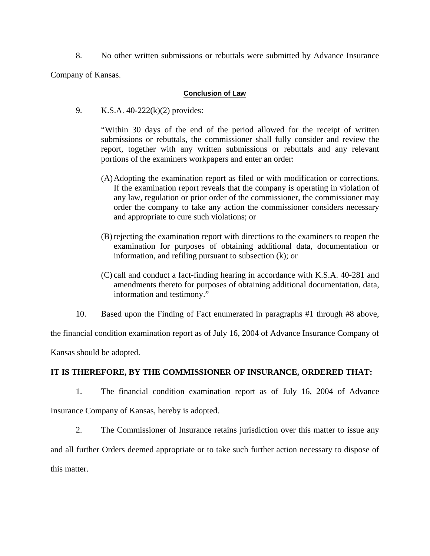8. No other written submissions or rebuttals were submitted by Advance Insurance

Company of Kansas.

# **Conclusion of Law**

9. K.S.A. 40-222(k)(2) provides:

"Within 30 days of the end of the period allowed for the receipt of written submissions or rebuttals, the commissioner shall fully consider and review the report, together with any written submissions or rebuttals and any relevant portions of the examiners workpapers and enter an order:

- (A) Adopting the examination report as filed or with modification or corrections. If the examination report reveals that the company is operating in violation of any law, regulation or prior order of the commissioner, the commissioner may order the company to take any action the commissioner considers necessary and appropriate to cure such violations; or
- (B) rejecting the examination report with directions to the examiners to reopen the examination for purposes of obtaining additional data, documentation or information, and refiling pursuant to subsection (k); or
- (C) call and conduct a fact-finding hearing in accordance with K.S.A. 40-281 and amendments thereto for purposes of obtaining additional documentation, data, information and testimony."
- 10. Based upon the Finding of Fact enumerated in paragraphs #1 through #8 above,

the financial condition examination report as of July 16, 2004 of Advance Insurance Company of

Kansas should be adopted.

# **IT IS THEREFORE, BY THE COMMISSIONER OF INSURANCE, ORDERED THAT:**

1. The financial condition examination report as of July 16, 2004 of Advance

Insurance Company of Kansas, hereby is adopted.

 2. The Commissioner of Insurance retains jurisdiction over this matter to issue any and all further Orders deemed appropriate or to take such further action necessary to dispose of

this matter.